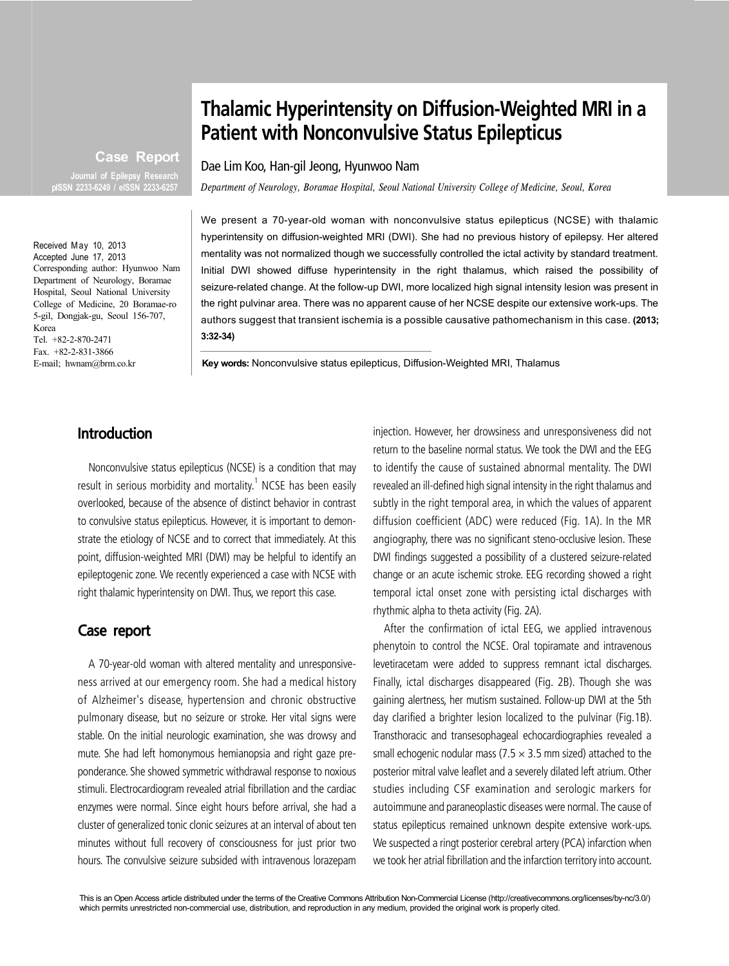# **Thalamic Hyperintensity on Diffusion-Weighted MRI in a Patient with Nonconvulsive Status Epilepticus**

Dae Lim Koo, Han-gil Jeong, Hyunwoo Nam

*Department of Neurology, Boramae Hospital, Seoul National University College of Medicine, Seoul, Korea*

We present a 70-year-old woman with nonconvulsive status epilepticus (NCSE) with thalamic hyperintensity on diffusion-weighted MRI (DWI). She had no previous history of epilepsy. Her altered mentality was not normalized though we successfully controlled the ictal activity by standard treatment. Initial DWI showed diffuse hyperintensity in the right thalamus, which raised the possibility of seizure-related change. At the follow-up DWI, more localized high signal intensity lesion was present in the right pulvinar area. There was no apparent cause of her NCSE despite our extensive work-ups. The authors suggest that transient ischemia is a possible causative pathomechanism in this case. **(2013; 3:32-34)**

**Key words:** Nonconvulsive status epilepticus, Diffusion-Weighted MRI, Thalamus

## **Introduction**

Nonconvulsive status epilepticus (NCSE) is a condition that may result in serious morbidity and mortality.<sup>1</sup> NCSE has been easily overlooked, because of the absence of distinct behavior in contrast to convulsive status epilepticus. However, it is important to demonstrate the etiology of NCSE and to correct that immediately. At this point, diffusion-weighted MRI (DWI) may be helpful to identify an epileptogenic zone. We recently experienced a case with NCSE with right thalamic hyperintensity on DWI. Thus, we report this case.

#### **Case report**

A 70-year-old woman with altered mentality and unresponsiveness arrived at our emergency room. She had a medical history of Alzheimer's disease, hypertension and chronic obstructive pulmonary disease, but no seizure or stroke. Her vital signs were stable. On the initial neurologic examination, she was drowsy and mute. She had left homonymous hemianopsia and right gaze preponderance. She showed symmetric withdrawal response to noxious stimuli. Electrocardiogram revealed atrial fibrillation and the cardiac enzymes were normal. Since eight hours before arrival, she had a cluster of generalized tonic clonic seizures at an interval of about ten minutes without full recovery of consciousness for just prior two hours. The convulsive seizure subsided with intravenous lorazepam injection. However, her drowsiness and unresponsiveness did not return to the baseline normal status. We took the DWI and the EEG to identify the cause of sustained abnormal mentality. The DWI revealed an ill-defined high signal intensity in the right thalamus and subtly in the right temporal area, in which the values of apparent diffusion coefficient (ADC) were reduced (Fig. 1A). In the MR angiography, there was no significant steno-occlusive lesion. These DWI findings suggested a possibility of a clustered seizure-related change or an acute ischemic stroke. EEG recording showed a right temporal ictal onset zone with persisting ictal discharges with rhythmic alpha to theta activity (Fig. 2A).

After the confirmation of ictal EEG, we applied intravenous phenytoin to control the NCSE. Oral topiramate and intravenous levetiracetam were added to suppress remnant ictal discharges. Finally, ictal discharges disappeared (Fig. 2B). Though she was gaining alertness, her mutism sustained. Follow-up DWI at the 5th day clarified a brighter lesion localized to the pulvinar (Fig.1B). Transthoracic and transesophageal echocardiographies revealed a small echogenic nodular mass ( $7.5 \times 3.5$  mm sized) attached to the posterior mitral valve leaflet and a severely dilated left atrium. Other studies including CSF examination and serologic markers for autoimmune and paraneoplastic diseases were normal. The cause of status epilepticus remained unknown despite extensive work-ups. We suspected a ringt posterior cerebral artery (PCA) infarction when we took her atrial fibrillation and the infarction territory into account.

This is an Open Access article distributed under the terms of the Creative Commons Attribution Non-Commercial License (http://creativecommons.org/licenses/by-nc/3.0/) which permits unrestricted non-commercial use, distribution, and reproduction in any medium, provided the original work is properly cited.

Accepted June 17, 2013 Corresponding author: Hyunwoo Nam Department of Neurology, Boramae Hospital, Seoul National University College of Medicine, 20 Boramae-ro 5-gil, Dongjak-gu, Seoul 156-707, Korea Tel. +82-2-870-2471

**Case Report**

**Journal of Epilepsy Research pISSN 2233-6249 / eISSN 2233-6257**

Fax. +82-2-831-3866 E-mail; hwnam@brm.co.kr

Received May 10, 2013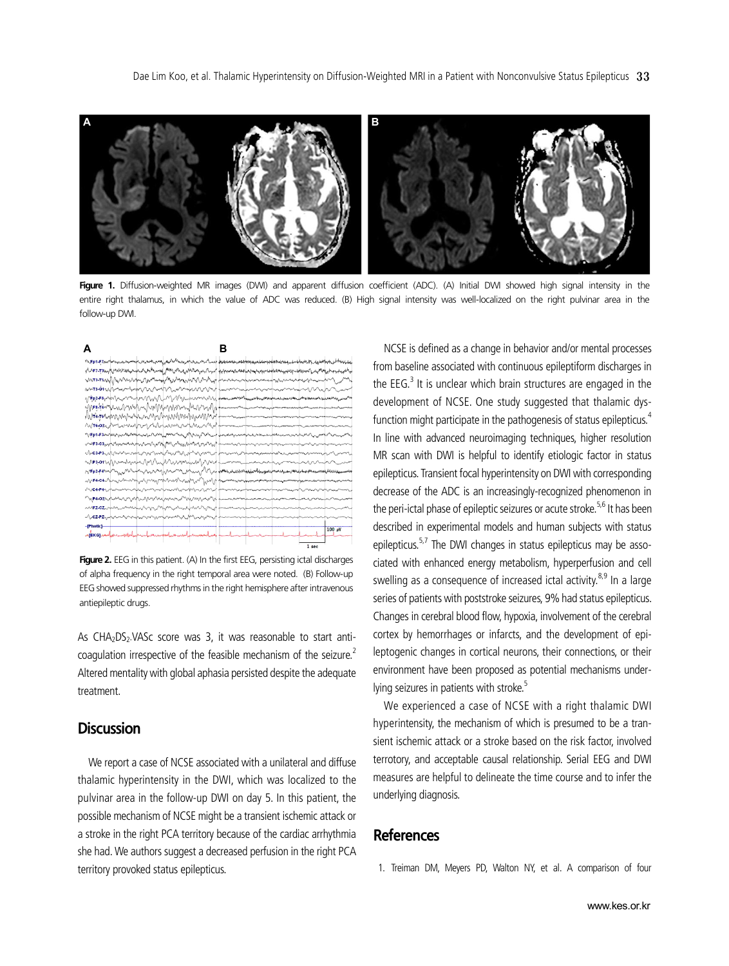

Figure 1. Diffusion-weighted MR images (DWI) and apparent diffusion coefficient (ADC). (A) Initial DWI showed high signal intensity in the entire right thalamus, in which the value of ADC was reduced. (B) High signal intensity was well-localized on the right pulvinar area in the follow-up DWI.

| А                                                                                                    |               |                                       |                                                                                                               |       |        |
|------------------------------------------------------------------------------------------------------|---------------|---------------------------------------|---------------------------------------------------------------------------------------------------------------|-------|--------|
| ۲۹٬Ep1-E7mr/www.newwww.newww.news/www.news/www.news/descars.com/www.news/www.news/www.news/atwise.co |               |                                       |                                                                                                               |       |        |
| http://www.https.com/www.and/www.https/www.https/www.http://www.https/www.https/www.https/www.https/ |               |                                       |                                                                                                               |       |        |
|                                                                                                      |               |                                       |                                                                                                               |       |        |
|                                                                                                      |               |                                       |                                                                                                               |       |        |
| g/#p2F8yMMnvmmpvVMnVNM/MMmprvmmvMy funniummmthacammaninanauuummlmmanin                               |               |                                       |                                                                                                               |       |        |
| MF8.F4mphml/Wylm/WWMMMMMmm/hWrm/dlwm/hommmmmmmmmmmmmmm                                               |               |                                       |                                                                                                               |       |        |
|                                                                                                      |               |                                       |                                                                                                               |       |        |
| not 6.02 por was populated manufacture                                                               |               |                                       | a mana a mana a mana a mana a mana a mana a mana a mana a mana a mana a mana a mana a mana a mana a mana a ma |       |        |
| WFD1-F3Mp44MpxM4Mmmm1xMmMfp4MmmmnVMMMMMmmmmmmmmmmmmmmmmmmmmm                                         |               |                                       |                                                                                                               |       |        |
| wesicspaphysomethylanethylanyhylanyhylanyhanyhylanyhylanyhylanananyhylanananyhyeisenyhy              |               |                                       |                                                                                                               |       |        |
| Mc3.P3.MWwmrufwynnydughymaelythumanitynaethyd power yn formaniadau paramintan                        |               |                                       |                                                                                                               |       |        |
| WP3.01W/WmWww.VM/WWWWww.WWW.ma                                                                       |               |                                       |                                                                                                               |       |        |
|                                                                                                      |               |                                       |                                                                                                               |       |        |
| M <b>F4.C4.</b> Marchine mp/al/maymphae/la/w/mp/al/jed/jt prominantoponovnationalmarining            |               |                                       |                                                                                                               |       |        |
|                                                                                                      |               |                                       |                                                                                                               |       |        |
| mp402n/www.mn/whathamnnmmmmmmmmmm                                                                    |               |                                       |                                                                                                               |       |        |
| <b>AMFZ-CZ</b> ANALAMM                                                                               | montanamental |                                       |                                                                                                               |       |        |
|                                                                                                      | VV.           |                                       |                                                                                                               |       |        |
| -[Photic]                                                                                            |               |                                       |                                                                                                               |       | 100 µV |
|                                                                                                      |               | ومستحصل والمستعاد والمستعمل والمستحدث |                                                                                                               |       |        |
|                                                                                                      |               |                                       |                                                                                                               | 1 sec |        |

**Figure 2.** EEG in this patient. (A) In the first EEG, persisting ictal discharges of alpha frequency in the right temporal area were noted. (B) Follow-up EEG showed suppressed rhythms in the right hemisphere after intravenous antiepileptic drugs.

As CHA<sub>2</sub>DS<sub>2</sub>-VASc score was 3, it was reasonable to start anticoagulation irrespective of the feasible mechanism of the seizure.<sup>2</sup> Altered mentality with global aphasia persisted despite the adequate treatment.

## **Discussion**

We report a case of NCSE associated with a unilateral and diffuse thalamic hyperintensity in the DWI, which was localized to the pulvinar area in the follow-up DWI on day 5. In this patient, the possible mechanism of NCSE might be a transient ischemic attack or a stroke in the right PCA territory because of the cardiac arrhythmia she had. We authors suggest a decreased perfusion in the right PCA territory provoked status epilepticus.

NCSE is defined as a change in behavior and/or mental processes from baseline associated with continuous epileptiform discharges in the EEG. $^3$  It is unclear which brain structures are engaged in the development of NCSE. One study suggested that thalamic dysfunction might participate in the pathogenesis of status epilepticus.<sup>4</sup> In line with advanced neuroimaging techniques, higher resolution MR scan with DWI is helpful to identify etiologic factor in status epilepticus. Transient focal hyperintensity on DWI with corresponding decrease of the ADC is an increasingly-recognized phenomenon in the peri-ictal phase of epileptic seizures or acute stroke.<sup>5,6</sup> It has been described in experimental models and human subjects with status epilepticus.<sup>5,7</sup> The DWI changes in status epilepticus may be associated with enhanced energy metabolism, hyperperfusion and cell swelling as a consequence of increased ictal activity.<sup>8,9</sup> In a large series of patients with poststroke seizures, 9% had status epilepticus. Changes in cerebral blood flow, hypoxia, involvement of the cerebral cortex by hemorrhages or infarcts, and the development of epileptogenic changes in cortical neurons, their connections, or their environment have been proposed as potential mechanisms underlying seizures in patients with stroke.<sup>5</sup>

We experienced a case of NCSE with a right thalamic DWI hyperintensity, the mechanism of which is presumed to be a transient ischemic attack or a stroke based on the risk factor, involved terrotory, and acceptable causal relationship. Serial EEG and DWI measures are helpful to delineate the time course and to infer the underlying diagnosis.

### **References**

1. Treiman DM, Meyers PD, Walton NY, et al. A comparison of four